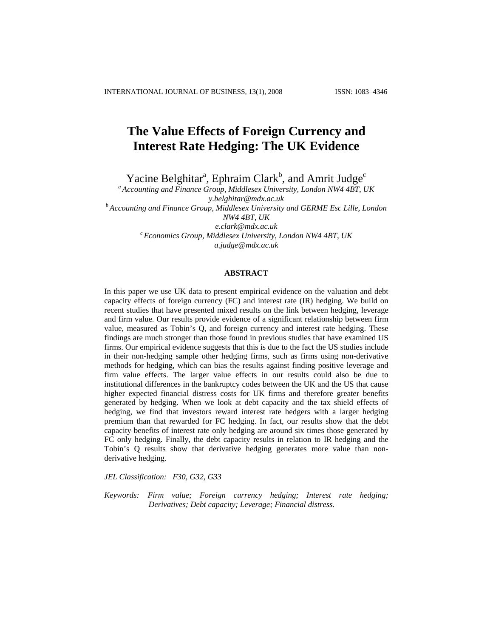# **The Value Effects of Foreign Currency and Interest Rate Hedging: The UK Evidence**

Yacine Belghitar<sup>a</sup>, Ephraim Clark<sup>b</sup>, and Amrit Judge<sup>c</sup>

*a Accounting and Finance Group, Middlesex University, London NW4 4BT, UK [y.belghitar@mdx.ac.uk](mailto:y.belghitar@mdx.ac.uk) b Accounting and Finance Group, Middlesex University and GERME Esc Lille, London* 

*NW4 4BT, UK* 

*[e.clark@mdx.ac.uk](mailto:e.clark@mdx.ac.uk) c Economics Group, Middlesex University, London NW4 4BT, UK* 

*[a.judge@mdx.ac.uk](mailto:a.judge@mdx.ac.uk)*

### **ABSTRACT**

In this paper we use UK data to present empirical evidence on the valuation and debt capacity effects of foreign currency (FC) and interest rate (IR) hedging. We build on recent studies that have presented mixed results on the link between hedging, leverage and firm value. Our results provide evidence of a significant relationship between firm value, measured as Tobin's Q, and foreign currency and interest rate hedging. These findings are much stronger than those found in previous studies that have examined US firms. Our empirical evidence suggests that this is due to the fact the US studies include in their non-hedging sample other hedging firms, such as firms using non-derivative methods for hedging, which can bias the results against finding positive leverage and firm value effects. The larger value effects in our results could also be due to institutional differences in the bankruptcy codes between the UK and the US that cause higher expected financial distress costs for UK firms and therefore greater benefits generated by hedging. When we look at debt capacity and the tax shield effects of hedging, we find that investors reward interest rate hedgers with a larger hedging premium than that rewarded for FC hedging. In fact, our results show that the debt capacity benefits of interest rate only hedging are around six times those generated by FC only hedging. Finally, the debt capacity results in relation to IR hedging and the Tobin's Q results show that derivative hedging generates more value than nonderivative hedging.

*JEL Classification: F30, G32, G33* 

*Keywords: Firm value; Foreign currency hedging; Interest rate hedging; Derivatives; Debt capacity; Leverage; Financial distress.*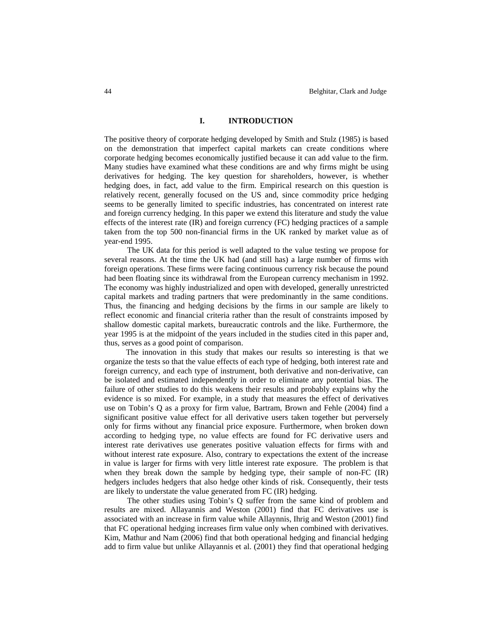## **I. INTRODUCTION**

The positive theory of corporate hedging developed by Smith and Stulz (1985) is based on the demonstration that imperfect capital markets can create conditions where corporate hedging becomes economically justified because it can add value to the firm. Many studies have examined what these conditions are and why firms might be using derivatives for hedging. The key question for shareholders, however, is whether hedging does, in fact, add value to the firm. Empirical research on this question is relatively recent, generally focused on the US and, since commodity price hedging seems to be generally limited to specific industries, has concentrated on interest rate and foreign currency hedging. In this paper we extend this literature and study the value effects of the interest rate (IR) and foreign currency (FC) hedging practices of a sample taken from the top 500 non-financial firms in the UK ranked by market value as of year-end 1995.

The UK data for this period is well adapted to the value testing we propose for several reasons. At the time the UK had (and still has) a large number of firms with foreign operations. These firms were facing continuous currency risk because the pound had been floating since its withdrawal from the European currency mechanism in 1992. The economy was highly industrialized and open with developed, generally unrestricted capital markets and trading partners that were predominantly in the same conditions. Thus, the financing and hedging decisions by the firms in our sample are likely to reflect economic and financial criteria rather than the result of constraints imposed by shallow domestic capital markets, bureaucratic controls and the like. Furthermore, the year 1995 is at the midpoint of the years included in the studies cited in this paper and, thus, serves as a good point of comparison.

The innovation in this study that makes our results so interesting is that we organize the tests so that the value effects of each type of hedging, both interest rate and foreign currency, and each type of instrument, both derivative and non-derivative, can be isolated and estimated independently in order to eliminate any potential bias. The failure of other studies to do this weakens their results and probably explains why the evidence is so mixed. For example, in a study that measures the effect of derivatives use on Tobin's Q as a proxy for firm value, Bartram, Brown and Fehle (2004) find a significant positive value effect for all derivative users taken together but perversely only for firms without any financial price exposure. Furthermore, when broken down according to hedging type, no value effects are found for FC derivative users and interest rate derivatives use generates positive valuation effects for firms with and without interest rate exposure. Also, contrary to expectations the extent of the increase in value is larger for firms with very little interest rate exposure. The problem is that when they break down the sample by hedging type, their sample of non-FC (IR) hedgers includes hedgers that also hedge other kinds of risk. Consequently, their tests are likely to understate the value generated from FC (IR) hedging.

The other studies using Tobin's Q suffer from the same kind of problem and results are mixed. Allayannis and Weston (2001) find that FC derivatives use is associated with an increase in firm value while Allaynnis, Ihrig and Weston (2001) find that FC operational hedging increases firm value only when combined with derivatives. Kim, Mathur and Nam (2006) find that both operational hedging and financial hedging add to firm value but unlike Allayannis et al. (2001) they find that operational hedging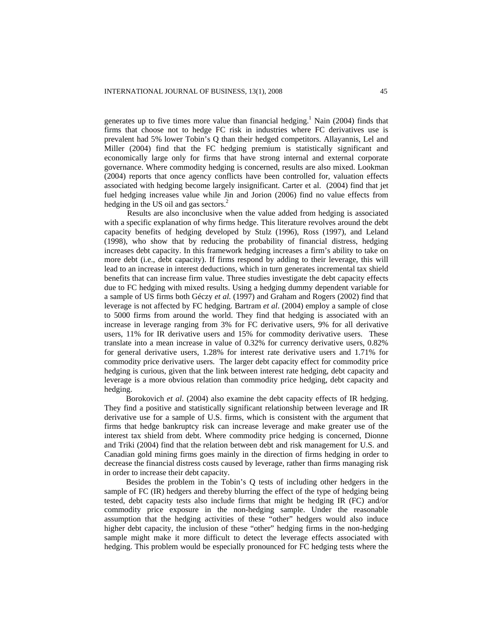generates up to five times more value than financial hedging.<sup>1</sup> Nain (2004) finds that firms that choose not to hedge FC risk in industries where FC derivatives use is prevalent had 5% lower Tobin's Q than their hedged competitors. Allayannis, Lel and Miller (2004) find that the FC hedging premium is statistically significant and economically large only for firms that have strong internal and external corporate governance. Where commodity hedging is concerned, results are also mixed. Lookman (2004) reports that once agency conflicts have been controlled for, valuation effects associated with hedging become largely insignificant. Carter et al. (2004) find that jet fuel hedging increases value while Jin and Jorion (2006) find no value effects from hedging in the US oil and gas sectors.<sup>2</sup>

Results are also inconclusive when the value added from hedging is associated with a specific explanation of why firms hedge. This literature revolves around the debt capacity benefits of hedging developed by Stulz (1996), Ross (1997), and Leland (1998), who show that by reducing the probability of financial distress, hedging increases debt capacity. In this framework hedging increases a firm's ability to take on more debt (i.e., debt capacity). If firms respond by adding to their leverage, this will lead to an increase in interest deductions, which in turn generates incremental tax shield benefits that can increase firm value. Three studies investigate the debt capacity effects due to FC hedging with mixed results. Using a hedging dummy dependent variable for a sample of US firms both Géczy *et al.* (1997) and Graham and Rogers (2002) find that leverage is not affected by FC hedging. Bartram *et al*. (2004) employ a sample of close to 5000 firms from around the world. They find that hedging is associated with an increase in leverage ranging from 3% for FC derivative users, 9% for all derivative users, 11% for IR derivative users and 15% for commodity derivative users. These translate into a mean increase in value of 0.32% for currency derivative users, 0.82% for general derivative users, 1.28% for interest rate derivative users and 1.71% for commodity price derivative users. The larger debt capacity effect for commodity price hedging is curious, given that the link between interest rate hedging, debt capacity and leverage is a more obvious relation than commodity price hedging, debt capacity and hedging.

Borokovich *et al*. (2004) also examine the debt capacity effects of IR hedging. They find a positive and statistically significant relationship between leverage and IR derivative use for a sample of U.S. firms, which is consistent with the argument that firms that hedge bankruptcy risk can increase leverage and make greater use of the interest tax shield from debt. Where commodity price hedging is concerned, Dionne and Triki (2004) find that the relation between debt and risk management for U.S. and Canadian gold mining firms goes mainly in the direction of firms hedging in order to decrease the financial distress costs caused by leverage, rather than firms managing risk in order to increase their debt capacity.

Besides the problem in the Tobin's Q tests of including other hedgers in the sample of FC (IR) hedgers and thereby blurring the effect of the type of hedging being tested, debt capacity tests also include firms that might be hedging IR (FC) and/or commodity price exposure in the non-hedging sample. Under the reasonable assumption that the hedging activities of these "other" hedgers would also induce higher debt capacity, the inclusion of these "other" hedging firms in the non-hedging sample might make it more difficult to detect the leverage effects associated with hedging. This problem would be especially pronounced for FC hedging tests where the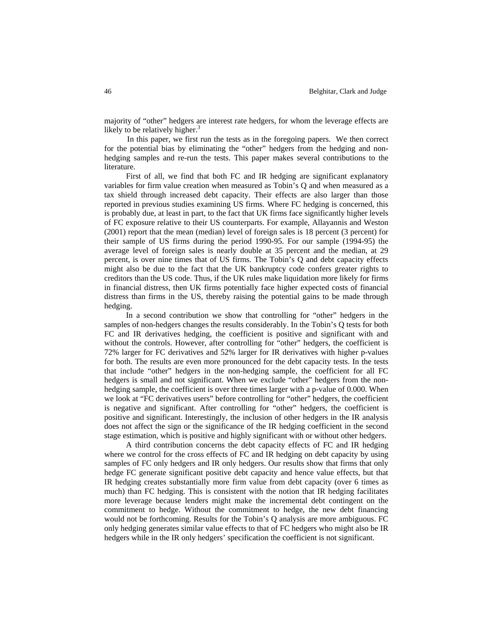majority of "other" hedgers are interest rate hedgers, for whom the leverage effects are likely to be relatively higher. $3$ 

In this paper, we first run the tests as in the foregoing papers. We then correct for the potential bias by eliminating the "other" hedgers from the hedging and nonhedging samples and re-run the tests. This paper makes several contributions to the literature.

First of all, we find that both FC and IR hedging are significant explanatory variables for firm value creation when measured as Tobin's Q and when measured as a tax shield through increased debt capacity. Their effects are also larger than those reported in previous studies examining US firms. Where FC hedging is concerned, this is probably due, at least in part, to the fact that UK firms face significantly higher levels of FC exposure relative to their US counterparts. For example, Allayannis and Weston (2001) report that the mean (median) level of foreign sales is 18 percent (3 percent) for their sample of US firms during the period 1990-95. For our sample (1994-95) the average level of foreign sales is nearly double at 35 percent and the median, at 29 percent, is over nine times that of US firms. The Tobin's Q and debt capacity effects might also be due to the fact that the UK bankruptcy code confers greater rights to creditors than the US code. Thus, if the UK rules make liquidation more likely for firms in financial distress, then UK firms potentially face higher expected costs of financial distress than firms in the US, thereby raising the potential gains to be made through hedging.

In a second contribution we show that controlling for "other" hedgers in the samples of non-hedgers changes the results considerably. In the Tobin's Q tests for both FC and IR derivatives hedging, the coefficient is positive and significant with and without the controls. However, after controlling for "other" hedgers, the coefficient is 72% larger for FC derivatives and 52% larger for IR derivatives with higher p-values for both. The results are even more pronounced for the debt capacity tests. In the tests that include "other" hedgers in the non-hedging sample, the coefficient for all FC hedgers is small and not significant. When we exclude "other" hedgers from the nonhedging sample, the coefficient is over three times larger with a p-value of 0.000. When we look at "FC derivatives users" before controlling for "other" hedgers, the coefficient is negative and significant. After controlling for "other" hedgers, the coefficient is positive and significant. Interestingly, the inclusion of other hedgers in the IR analysis does not affect the sign or the significance of the IR hedging coefficient in the second stage estimation, which is positive and highly significant with or without other hedgers.

A third contribution concerns the debt capacity effects of FC and IR hedging where we control for the cross effects of FC and IR hedging on debt capacity by using samples of FC only hedgers and IR only hedgers. Our results show that firms that only hedge FC generate significant positive debt capacity and hence value effects, but that IR hedging creates substantially more firm value from debt capacity (over 6 times as much) than FC hedging. This is consistent with the notion that IR hedging facilitates more leverage because lenders might make the incremental debt contingent on the commitment to hedge. Without the commitment to hedge, the new debt financing would not be forthcoming. Results for the Tobin's Q analysis are more ambiguous. FC only hedging generates similar value effects to that of FC hedgers who might also be IR hedgers while in the IR only hedgers' specification the coefficient is not significant.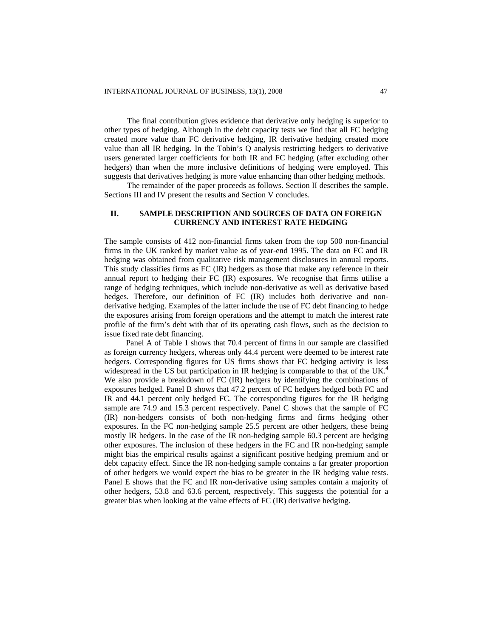The final contribution gives evidence that derivative only hedging is superior to other types of hedging. Although in the debt capacity tests we find that all FC hedging created more value than FC derivative hedging, IR derivative hedging created more value than all IR hedging. In the Tobin's Q analysis restricting hedgers to derivative users generated larger coefficients for both IR and FC hedging (after excluding other hedgers) than when the more inclusive definitions of hedging were employed. This suggests that derivatives hedging is more value enhancing than other hedging methods.

The remainder of the paper proceeds as follows. Section II describes the sample. Sections III and IV present the results and Section V concludes.

## **II. SAMPLE DESCRIPTION AND SOURCES OF DATA ON FOREIGN CURRENCY AND INTEREST RATE HEDGING**

The sample consists of 412 non-financial firms taken from the top 500 non-financial firms in the UK ranked by market value as of year-end 1995. The data on FC and IR hedging was obtained from qualitative risk management disclosures in annual reports. This study classifies firms as FC (IR) hedgers as those that make any reference in their annual report to hedging their FC (IR) exposures. We recognise that firms utilise a range of hedging techniques, which include non-derivative as well as derivative based hedges. Therefore, our definition of FC (IR) includes both derivative and nonderivative hedging. Examples of the latter include the use of FC debt financing to hedge the exposures arising from foreign operations and the attempt to match the interest rate profile of the firm's debt with that of its operating cash flows, such as the decision to issue fixed rate debt financing.

Panel A of Table 1 shows that 70.4 percent of firms in our sample are classified as foreign currency hedgers, whereas only 44.4 percent were deemed to be interest rate hedgers. Corresponding figures for US firms shows that FC hedging activity is less widespread in the US but participation in IR hedging is comparable to that of the UK.<sup>4</sup> We also provide a breakdown of FC (IR) hedgers by identifying the combinations of exposures hedged. Panel B shows that 47.2 percent of FC hedgers hedged both FC and IR and 44.1 percent only hedged FC. The corresponding figures for the IR hedging sample are 74.9 and 15.3 percent respectively. Panel C shows that the sample of FC (IR) non-hedgers consists of both non-hedging firms and firms hedging other exposures. In the FC non-hedging sample 25.5 percent are other hedgers, these being mostly IR hedgers. In the case of the IR non-hedging sample 60.3 percent are hedging other exposures. The inclusion of these hedgers in the FC and IR non-hedging sample might bias the empirical results against a significant positive hedging premium and or debt capacity effect. Since the IR non-hedging sample contains a far greater proportion of other hedgers we would expect the bias to be greater in the IR hedging value tests. Panel E shows that the FC and IR non-derivative using samples contain a majority of other hedgers, 53.8 and 63.6 percent, respectively. This suggests the potential for a greater bias when looking at the value effects of FC (IR) derivative hedging.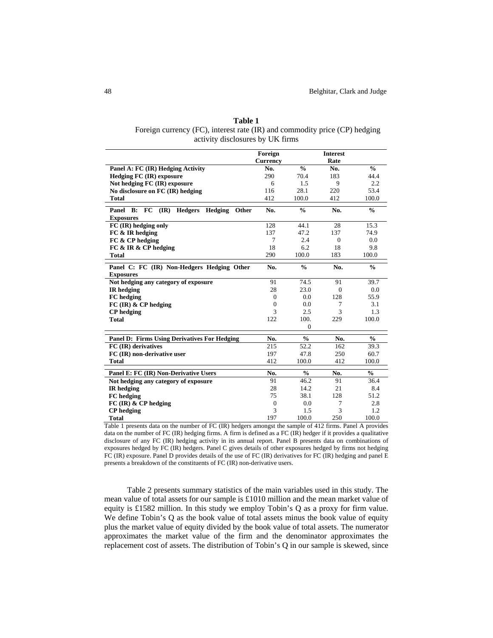| Table T                                                                    |
|----------------------------------------------------------------------------|
| Foreign currency (FC), interest rate (IR) and commodity price (CP) hedging |
| activity disclosures by UK firms                                           |

**Table 1** 

|                                                                                   | Foreign          |               | <b>Interest</b> |               |
|-----------------------------------------------------------------------------------|------------------|---------------|-----------------|---------------|
|                                                                                   | <b>Currency</b>  |               | Rate            |               |
| Panel A: FC (IR) Hedging Activity                                                 | No.              | $\frac{0}{0}$ | No.             | $\frac{0}{0}$ |
| <b>Hedging FC (IR) exposure</b>                                                   | 290              | 70.4          | 183             | 44.4          |
| Not hedging FC (IR) exposure                                                      | 6                | 1.5           | 9               | 2.2           |
| No disclosure on FC (IR) hedging                                                  | 116              | 28.1          | 220             | 53.4          |
| <b>Total</b>                                                                      | 412              | 100.0         | 412             | 100.0         |
| <b>FC</b><br>$(\mathbf{IR})$<br>Hedging<br>Panel<br>B:<br><b>Hedgers</b><br>Other | No.              | $\frac{0}{0}$ | No.             | $\frac{0}{0}$ |
| <b>Exposures</b>                                                                  |                  |               |                 |               |
| FC (IR) hedging only                                                              | 128              | 44.1          | 28              | 15.3          |
| FC & IR hedging                                                                   | 137              | 47.2          | 137             | 74.9          |
| FC & CP hedging                                                                   | 7                | 2.4           | $\Omega$        | 0.0           |
| FC & IR & CP hedging                                                              | 18               | 6.2           | 18              | 9.8           |
| <b>Total</b>                                                                      | 290              | 100.0         | 183             | 100.0         |
| Panel C: FC (IR) Non-Hedgers Hedging Other                                        | No.              | $\frac{0}{0}$ | No.             | $\frac{0}{0}$ |
| <b>Exposures</b>                                                                  |                  |               |                 |               |
| Not hedging any category of exposure                                              | 91               | 74.5          | 91              | 39.7          |
| <b>IR</b> hedging                                                                 | 28               | 23.0          | $\Omega$        | 0.0           |
| FC hedging                                                                        | $\Omega$         | 0.0           | 128             | 55.9          |
| $FC$ (IR) & CP hedging                                                            | $\theta$         | 0.0           | 7               | 3.1           |
| <b>CP</b> hedging                                                                 | 3                | 2.5           | 3               | 1.3           |
| <b>Total</b>                                                                      | 122              | 100.          | 229             | 100.0         |
|                                                                                   |                  | $\Omega$      |                 |               |
| <b>Panel D: Firms Using Derivatives For Hedging</b>                               | No.              | $\frac{0}{0}$ | No.             | $\frac{0}{0}$ |
| FC (IR) derivatives                                                               | 215              | 52.2          | 162             | 39.3          |
| FC (IR) non-derivative user                                                       | 197              | 47.8          | 250             | 60.7          |
| <b>Total</b>                                                                      | 412              | 100.0         | 412             | 100.0         |
| Panel E: FC (IR) Non-Derivative Users                                             | No.              | $\frac{0}{0}$ | No.             | $\frac{0}{0}$ |
| Not hedging any category of exposure                                              | 91               | 46.2          | 91              | 36.4          |
| <b>IR</b> hedging                                                                 | 28               | 14.2          | 21              | 8.4           |
| FC hedging                                                                        | 75               | 38.1          | 128             | 51.2          |
| $FC$ (IR) $\&$ CP hedging                                                         | $\boldsymbol{0}$ | 0.0           | 7               | 2.8           |
| <b>CP</b> hedging                                                                 | 3                | 1.5           | 3               | 1.2           |
| <b>Total</b>                                                                      | 197              | 100.0         | 250             | 100.0         |

Table 1 presents data on the number of FC (IR) hedgers amongst the sample of 412 firms. Panel A provides data on the number of FC (IR) hedging firms. A firm is defined as a FC (IR) hedger if it provides a qualitative disclosure of any FC (IR) hedging activity in its annual report. Panel B presents data on combinations of exposures hedged by FC (IR) hedgers. Panel C gives details of other exposures hedged by firms not hedging FC (IR) exposure. Panel D provides details of the use of FC (IR) derivatives for FC (IR) hedging and panel E presents a breakdown of the constituents of FC (IR) non-derivative users.

Table 2 presents summary statistics of the main variables used in this study. The mean value of total assets for our sample is £1010 million and the mean market value of equity is £1582 million. In this study we employ Tobin's Q as a proxy for firm value. We define Tobin's Q as the book value of total assets minus the book value of equity plus the market value of equity divided by the book value of total assets. The numerator approximates the market value of the firm and the denominator approximates the replacement cost of assets. The distribution of Tobin's Q in our sample is skewed, since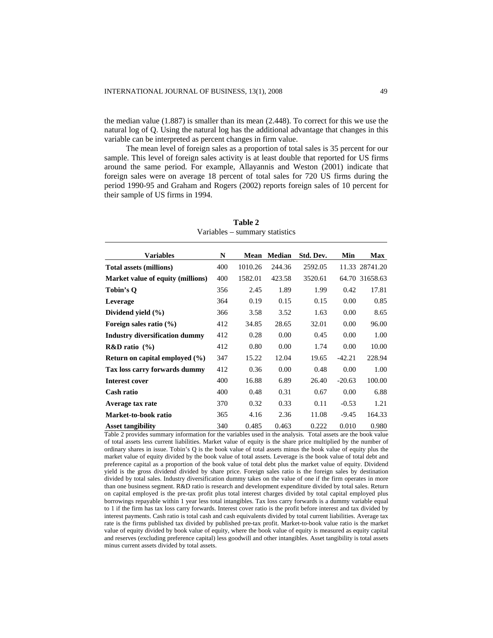the median value (1.887) is smaller than its mean (2.448). To correct for this we use the natural log of Q. Using the natural log has the additional advantage that changes in this variable can be interpreted as percent changes in firm value.

The mean level of foreign sales as a proportion of total sales is 35 percent for our sample. This level of foreign sales activity is at least double that reported for US firms around the same period. For example, Allayannis and Weston (2001) indicate that foreign sales were on average 18 percent of total sales for 720 US firms during the period 1990-95 and Graham and Rogers (2002) reports foreign sales of 10 percent for their sample of US firms in 1994.

| <b>Variables</b>                      | N   | Mean    | <b>Median</b> | Std. Dev. | Min      | <b>Max</b>     |
|---------------------------------------|-----|---------|---------------|-----------|----------|----------------|
| <b>Total assets (millions)</b>        | 400 | 1010.26 | 244.36        | 2592.05   |          | 11.33 28741.20 |
| Market value of equity (millions)     | 400 | 1582.01 | 423.58        | 3520.61   |          | 64.70 31658.63 |
| Tobin's Q                             | 356 | 2.45    | 1.89          | 1.99      | 0.42     | 17.81          |
| Leverage                              | 364 | 0.19    | 0.15          | 0.15      | 0.00     | 0.85           |
| Dividend yield $(\% )$                | 366 | 3.58    | 3.52          | 1.63      | 0.00     | 8.65           |
| Foreign sales ratio $(\% )$           | 412 | 34.85   | 28.65         | 32.01     | 0.00     | 96.00          |
| <b>Industry diversification dummy</b> | 412 | 0.28    | 0.00          | 0.45      | 0.00     | 1.00           |
| $R&D$ ratio $(%)$                     | 412 | 0.80    | 0.00          | 1.74      | 0.00     | 10.00          |
| Return on capital employed $(\% )$    | 347 | 15.22   | 12.04         | 19.65     | $-42.21$ | 228.94         |
| Tax loss carry forwards dummy         | 412 | 0.36    | 0.00          | 0.48      | 0.00     | 1.00           |
| <b>Interest cover</b>                 | 400 | 16.88   | 6.89          | 26.40     | $-20.63$ | 100.00         |
| Cash ratio                            | 400 | 0.48    | 0.31          | 0.67      | 0.00     | 6.88           |
| Average tax rate                      | 370 | 0.32    | 0.33          | 0.11      | $-0.53$  | 1.21           |
| Market-to-book ratio                  | 365 | 4.16    | 2.36          | 11.08     | $-9.45$  | 164.33         |
| <b>Asset tangibility</b>              | 340 | 0.485   | 0.463         | 0.222     | 0.010    | 0.980          |

**Table 2**  Variables – summary statistics

Table 2 provides summary information for the variables used in the analysis. Total assets are the book value of total assets less current liabilities. Market value of equity is the share price multiplied by the number of ordinary shares in issue. Tobin's Q is the book value of total assets minus the book value of equity plus the market value of equity divided by the book value of total assets. Leverage is the book value of total debt and preference capital as a proportion of the book value of total debt plus the market value of equity. Dividend yield is the gross dividend divided by share price. Foreign sales ratio is the foreign sales by destination divided by total sales. Industry diversification dummy takes on the value of one if the firm operates in more than one business segment. R&D ratio is research and development expenditure divided by total sales. Return on capital employed is the pre-tax profit plus total interest charges divided by total capital employed plus borrowings repayable within 1 year less total intangibles. Tax loss carry forwards is a dummy variable equal to 1 if the firm has tax loss carry forwards. Interest cover ratio is the profit before interest and tax divided by interest payments. Cash ratio is total cash and cash equivalents divided by total current liabilities. Average tax rate is the firms published tax divided by published pre-tax profit. Market-to-book value ratio is the market value of equity divided by book value of equity, where the book value of equity is measured as equity capital and reserves (excluding preference capital) less goodwill and other intangibles. Asset tangibility is total assets minus current assets divided by total assets.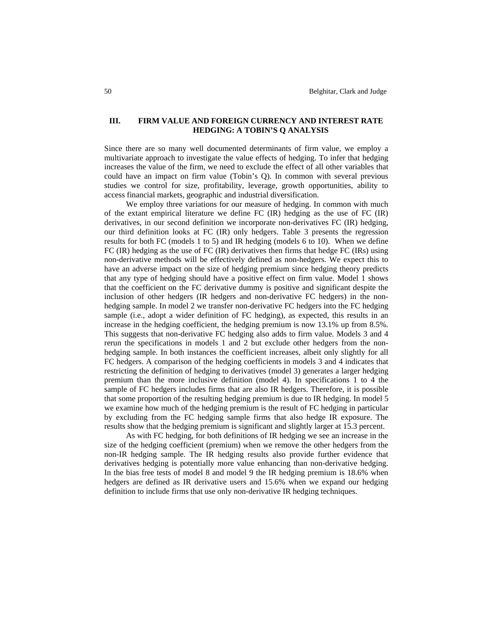## **III. FIRM VALUE AND FOREIGN CURRENCY AND INTEREST RATE HEDGING: A TOBIN'S Q ANALYSIS**

Since there are so many well documented determinants of firm value, we employ a multivariate approach to investigate the value effects of hedging. To infer that hedging increases the value of the firm, we need to exclude the effect of all other variables that could have an impact on firm value (Tobin's Q). In common with several previous studies we control for size, profitability, leverage, growth opportunities, ability to access financial markets, geographic and industrial diversification.

We employ three variations for our measure of hedging. In common with much of the extant empirical literature we define FC (IR) hedging as the use of FC (IR) derivatives, in our second definition we incorporate non-derivatives FC (IR) hedging, our third definition looks at FC (IR) only hedgers. Table 3 presents the regression results for both FC (models 1 to 5) and IR hedging (models 6 to 10). When we define FC (IR) hedging as the use of FC (IR) derivatives then firms that hedge FC (IRs) using non-derivative methods will be effectively defined as non-hedgers. We expect this to have an adverse impact on the size of hedging premium since hedging theory predicts that any type of hedging should have a positive effect on firm value. Model 1 shows that the coefficient on the FC derivative dummy is positive and significant despite the inclusion of other hedgers (IR hedgers and non-derivative FC hedgers) in the nonhedging sample. In model 2 we transfer non-derivative FC hedgers into the FC hedging sample (i.e., adopt a wider definition of FC hedging), as expected, this results in an increase in the hedging coefficient, the hedging premium is now 13.1% up from 8.5%. This suggests that non-derivative FC hedging also adds to firm value. Models 3 and 4 rerun the specifications in models 1 and 2 but exclude other hedgers from the nonhedging sample. In both instances the coefficient increases, albeit only slightly for all FC hedgers. A comparison of the hedging coefficients in models 3 and 4 indicates that restricting the definition of hedging to derivatives (model 3) generates a larger hedging premium than the more inclusive definition (model 4). In specifications 1 to 4 the sample of FC hedgers includes firms that are also IR hedgers. Therefore, it is possible that some proportion of the resulting hedging premium is due to IR hedging. In model 5 we examine how much of the hedging premium is the result of FC hedging in particular by excluding from the FC hedging sample firms that also hedge IR exposure. The results show that the hedging premium is significant and slightly larger at 15.3 percent.

As with FC hedging, for both definitions of IR hedging we see an increase in the size of the hedging coefficient (premium) when we remove the other hedgers from the non-IR hedging sample. The IR hedging results also provide further evidence that derivatives hedging is potentially more value enhancing than non-derivative hedging. In the bias free tests of model 8 and model 9 the IR hedging premium is 18.6% when hedgers are defined as IR derivative users and 15.6% when we expand our hedging definition to include firms that use only non-derivative IR hedging techniques.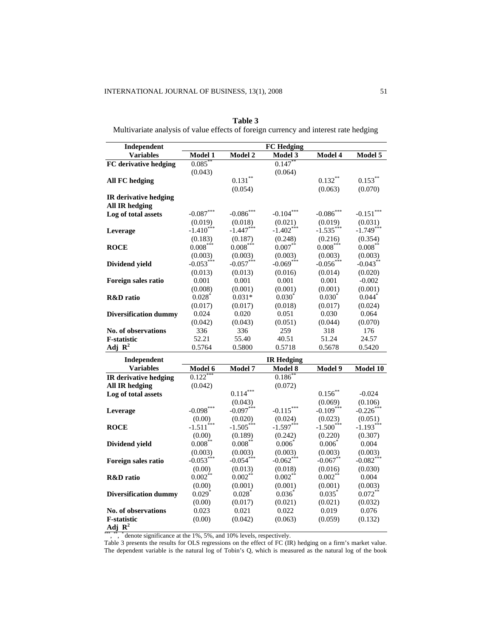## **Table 3**

Multivariate analysis of value effects of foreign currency and interest rate hedging

| Independent                  |                         |              | <b>FC Hedging</b> |             |             |
|------------------------------|-------------------------|--------------|-------------------|-------------|-------------|
| <b>Variables</b>             | Model 1                 | Model 2      | <b>Model 3</b>    | Model 4     | Model 5     |
| FC derivative hedging        | $0.085$ *               |              | $0.147$ *         |             |             |
|                              | (0.043)                 |              | (0.064)           |             |             |
| <b>All FC hedging</b>        |                         | $0.131***$   |                   | $0.132***$  | $0.153***$  |
|                              |                         | (0.054)      |                   | (0.063)     | (0.070)     |
| <b>IR</b> derivative hedging |                         |              |                   |             |             |
| <b>All IR hedging</b>        |                         |              |                   |             |             |
| Log of total assets          | $-0.087***$             | $-0.086$ *** | $-0.104***$       | $-0.086***$ | $-0.151***$ |
|                              | (0.019)                 | (0.018)      | (0.021)           | (0.019)     | (0.031)     |
| Leverage                     | $-1.410***$             | $-1.447***$  | $-1.402***$       | $-1.535***$ | $-1.749***$ |
|                              | (0.183)                 | (0.187)      | (0.248)           | (0.216)     | (0.354)     |
| <b>ROCE</b>                  | $0.008***$              | $0.008*$     | $0.007***$        | $0.008***$  | $0.008$ **  |
|                              | (0.003)                 | (0.003)      | (0.003)           | (0.003)     | (0.003)     |
| Dividend yield               | $-0.053***$             | $-0.057***$  | $-0.069***$       | $-0.056***$ | $-0.043$ ** |
|                              | (0.013)                 | (0.013)      | (0.016)           | (0.014)     | (0.020)     |
| Foreign sales ratio          | 0.001                   | 0.001        | 0.001             | 0.001       | $-0.002$    |
|                              | (0.008)                 | (0.001)      | (0.001)           | (0.001)     | (0.001)     |
| <b>R&amp;D</b> ratio         | $0.028*$                | $0.031*$     | $0.030^*$         | $0.030*$    | $0.044*$    |
|                              | (0.017)                 | (0.017)      | (0.018)           | (0.017)     | (0.024)     |
| <b>Diversification dummy</b> | 0.024                   | 0.020        | 0.051             | 0.030       | 0.064       |
|                              | (0.042)                 | (0.043)      | (0.051)           | (0.044)     | (0.070)     |
| <b>No. of observations</b>   | 336                     | 336          | 259               | 318         | 176         |
| <b>F-statistic</b>           | 52.21                   | 55.40        | 40.51             | 51.24       | 24.57       |
| Adj $\mathbf{R}^2$           | 0.5764                  | 0.5800       | 0.5718            | 0.5678      | 0.5420      |
|                              |                         |              |                   |             |             |
| Independent                  |                         |              | <b>IR Hedging</b> |             |             |
| <b>Variables</b>             | Model 6                 | Model 7      | Model 8           | Model 9     | Model 10    |
| IR derivative hedging        | 0.122                   |              | $0.186^{\degree}$ |             |             |
| <b>All IR hedging</b>        | (0.042)                 |              | (0.072)           |             |             |
| Log of total assets          |                         | $0.114***$   |                   | $0.156***$  | $-0.024$    |
|                              |                         | (0.043)      |                   | (0.069)     | (0.106)     |
| Leverage                     | $-0.098***$             | $-0.097***$  | $-0.115***$       | $-0.109***$ | $-0.226$ *  |
|                              | (0.00)                  | (0.020)      | (0.024)           | (0.023)     | (0.051)     |
| <b>ROCE</b>                  | $-1.511$ <sup>***</sup> | $-1.505***$  | $-1.597***$       | $-1.500***$ | $-1.193***$ |
|                              | (0.00)                  | (0.189)      | (0.242)           | (0.220)     | (0.307)     |
| Dividend yield               | $0.008***$              | $0.008^{**}$ | $0.006^{\circ}$   | $0.006*$    | 0.004       |
|                              | (0.003)                 | (0.003)      | (0.003)           | (0.003)     | (0.003)     |
| Foreign sales ratio          | $-0.053***$             | $-0.054***$  | $-0.062$ *        | $-0.067$ ** | $-0.082$ *  |
|                              | (0.00)                  | (0.013)      | (0.018)           | (0.016)     | (0.030)     |
| <b>R&amp;D</b> ratio         | $0.002**$               | 0.002        | 0.002             | $0.002$ *   | 0.004       |
|                              | (0.00)                  | (0.001)      | (0.001)           | (0.001)     | (0.003)     |
| <b>Diversification dummy</b> | $0.029*$                | $0.028^*$    | $0.036*$          | $0.035*$    | $0.072**$   |
|                              | (0.00)                  | (0.017)      | (0.021)           | (0.021)     | (0.032)     |
| <b>No. of observations</b>   | 0.023                   | 0.021        | 0.022             | 0.019       | 0.076       |
| <b>F-statistic</b>           | (0.00)                  | (0.042)      | (0.063)           | (0.059)     | (0.132)     |
| Adj $\mathbf{R}^2$           |                         |              |                   |             |             |

\*\*\*, \*\*, \* denote significance at the 1%, 5%, and 10% levels, respectively.

Table 3 presents the results for OLS regressions on the effect of FC (IR) hedging on a firm's market value. The dependent variable is the natural log of Tobin's Q, which is measured as the natural log of the book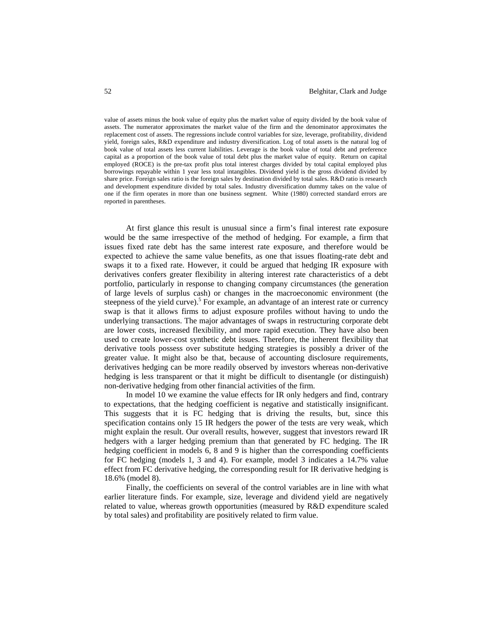value of assets minus the book value of equity plus the market value of equity divided by the book value of assets. The numerator approximates the market value of the firm and the denominator approximates the replacement cost of assets. The regressions include control variables for size, leverage, profitability, dividend yield, foreign sales, R&D expenditure and industry diversification. Log of total assets is the natural log of book value of total assets less current liabilities. Leverage is the book value of total debt and preference capital as a proportion of the book value of total debt plus the market value of equity. Return on capital employed (ROCE) is the pre-tax profit plus total interest charges divided by total capital employed plus borrowings repayable within 1 year less total intangibles. Dividend yield is the gross dividend divided by share price. Foreign sales ratio is the foreign sales by destination divided by total sales. R&D ratio is research and development expenditure divided by total sales. Industry diversification dummy takes on the value of one if the firm operates in more than one business segment. White (1980) corrected standard errors are reported in parentheses.

At first glance this result is unusual since a firm's final interest rate exposure would be the same irrespective of the method of hedging. For example, a firm that issues fixed rate debt has the same interest rate exposure, and therefore would be expected to achieve the same value benefits, as one that issues floating-rate debt and swaps it to a fixed rate. However, it could be argued that hedging IR exposure with derivatives confers greater flexibility in altering interest rate characteristics of a debt portfolio, particularly in response to changing company circumstances (the generation of large levels of surplus cash) or changes in the macroeconomic environment (the steepness of the yield curve).<sup>5</sup> For example, an advantage of an interest rate or currency swap is that it allows firms to adjust exposure profiles without having to undo the underlying transactions. The major advantages of swaps in restructuring corporate debt are lower costs, increased flexibility, and more rapid execution. They have also been used to create lower-cost synthetic debt issues. Therefore, the inherent flexibility that derivative tools possess over substitute hedging strategies is possibly a driver of the greater value. It might also be that, because of accounting disclosure requirements, derivatives hedging can be more readily observed by investors whereas non-derivative hedging is less transparent or that it might be difficult to disentangle (or distinguish) non-derivative hedging from other financial activities of the firm.

In model 10 we examine the value effects for IR only hedgers and find, contrary to expectations, that the hedging coefficient is negative and statistically insignificant. This suggests that it is FC hedging that is driving the results, but, since this specification contains only 15 IR hedgers the power of the tests are very weak, which might explain the result. Our overall results, however, suggest that investors reward IR hedgers with a larger hedging premium than that generated by FC hedging. The IR hedging coefficient in models 6, 8 and 9 is higher than the corresponding coefficients for FC hedging (models 1, 3 and 4). For example, model 3 indicates a 14.7% value effect from FC derivative hedging, the corresponding result for IR derivative hedging is 18.6% (model 8).

Finally, the coefficients on several of the control variables are in line with what earlier literature finds. For example, size, leverage and dividend yield are negatively related to value, whereas growth opportunities (measured by R&D expenditure scaled by total sales) and profitability are positively related to firm value.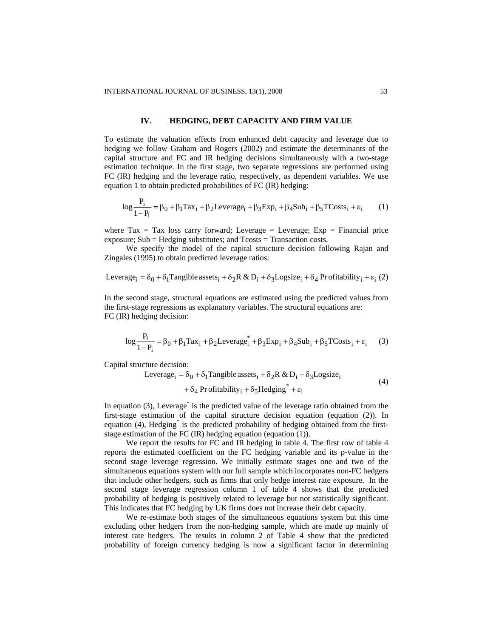#### **IV. HEDGING, DEBT CAPACITY AND FIRM VALUE**

To estimate the valuation effects from enhanced debt capacity and leverage due to hedging we follow Graham and Rogers (2002) and estimate the determinants of the capital structure and FC and IR hedging decisions simultaneously with a two-stage estimation technique. In the first stage, two separate regressions are performed using FC (IR) hedging and the leverage ratio, respectively, as dependent variables. We use equation 1 to obtain predicted probabilities of FC (IR) hedging:

$$
\log \frac{P_i}{1 - P_i} = \beta_0 + \beta_1 \text{Tax}_i + \beta_2 \text{Leverage}_i + \beta_3 \text{Exp}_i + \beta_4 \text{Sub}_i + \beta_5 \text{TCosts}_i + \varepsilon_i \tag{1}
$$

where  $\text{Tax} = \text{Tax loss carry forward}$ ; Leverage = Leverage; Exp = Financial price exposure; Sub = Hedging substitutes; and Tcosts = Transaction costs.

We specify the model of the capital structure decision following Rajan and Zingales (1995) to obtain predicted leverage ratios:

Leverage<sub>i</sub> = 
$$
\delta_0 + \delta_1
$$
Tangible assets<sub>i</sub> +  $\delta_2 R \& D_i + \delta_3 Logsize_i + \delta_4$  Pr ofitability<sub>i</sub> +  $\varepsilon_i$  (2)

In the second stage, structural equations are estimated using the predicted values from the first-stage regressions as explanatory variables. The structural equations are: FC (IR) hedging decision:

$$
\log \frac{P_i}{1 - P_i} = \beta_0 + \beta_1 \text{Tax}_i + \beta_2 \text{Leverage}_i^* + \beta_3 \text{Exp}_i + \beta_4 \text{Sub}_i + \beta_5 \text{TCosts}_i + \varepsilon_i \tag{3}
$$

Capital structure decision:

$$
Leverage_i = \delta_0 + \delta_1 Tangible assets_i + \delta_2 R & D_i + \delta_3 Logsize_i
$$
\n
$$
+ \delta_4 Profitability_i + \delta_5 Hedging^* + \varepsilon_i
$$
\n(4)

In equation (3), Leverage<sup>\*</sup> is the predicted value of the leverage ratio obtained from the first-stage estimation of the capital structure decision equation (equation (2)). In equation (4), Hedging<sup>\*</sup> is the predicted probability of hedging obtained from the firststage estimation of the FC (IR) hedging equation (equation (1)).

We report the results for FC and IR hedging in table 4. The first row of table 4 reports the estimated coefficient on the FC hedging variable and its p-value in the second stage leverage regression. We initially estimate stages one and two of the simultaneous equations system with our full sample which incorporates non-FC hedgers that include other hedgers, such as firms that only hedge interest rate exposure. In the second stage leverage regression column 1 of table 4 shows that the predicted probability of hedging is positively related to leverage but not statistically significant. This indicates that FC hedging by UK firms does not increase their debt capacity.

We re-estimate both stages of the simultaneous equations system but this time excluding other hedgers from the non-hedging sample, which are made up mainly of interest rate hedgers. The results in column 2 of Table 4 show that the predicted probability of foreign currency hedging is now a significant factor in determining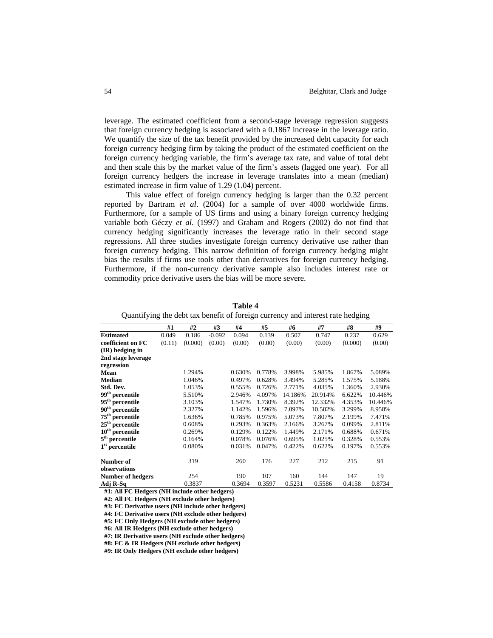leverage. The estimated coefficient from a second-stage leverage regression suggests that foreign currency hedging is associated with a 0.1867 increase in the leverage ratio. We quantify the size of the tax benefit provided by the increased debt capacity for each foreign currency hedging firm by taking the product of the estimated coefficient on the foreign currency hedging variable, the firm's average tax rate, and value of total debt and then scale this by the market value of the firm's assets (lagged one year). For all foreign currency hedgers the increase in leverage translates into a mean (median) estimated increase in firm value of 1.29 (1.04) percent.

This value effect of foreign currency hedging is larger than the 0.32 percent reported by Bartram *et al*. (2004) for a sample of over 4000 worldwide firms. Furthermore, for a sample of US firms and using a binary foreign currency hedging variable both Géczy *et al*. (1997) and Graham and Rogers (2002) do not find that currency hedging significantly increases the leverage ratio in their second stage regressions. All three studies investigate foreign currency derivative use rather than foreign currency hedging. This narrow definition of foreign currency hedging might bias the results if firms use tools other than derivatives for foreign currency hedging. Furthermore, if the non-currency derivative sample also includes interest rate or commodity price derivative users the bias will be more severe.

|                             | #1     | #2      | #3       | #4     | #5     | #6      | #7      | #8      | #9      |
|-----------------------------|--------|---------|----------|--------|--------|---------|---------|---------|---------|
| <b>Estimated</b>            | 0.049  | 0.186   | $-0.092$ | 0.094  | 0.139  | 0.507   | 0.747   | 0.237   | 0.629   |
| coefficient on FC           | (0.11) | (0.000) | (0.00)   | (0.00) | (0.00) | (0.00)  | (0.00)  | (0.000) | (0.00)  |
| (IR) hedging in             |        |         |          |        |        |         |         |         |         |
| 2nd stage leverage          |        |         |          |        |        |         |         |         |         |
| regression                  |        |         |          |        |        |         |         |         |         |
| Mean                        |        | 1.294%  |          | 0.630% | 0.778% | 3.998%  | 5.985%  | 1.867%  | 5.089%  |
| <b>Median</b>               |        | 1.046%  |          | 0.497% | 0.628% | 3.494%  | 5.285%  | 1.575%  | 5.188%  |
| Std. Dev.                   |        | 1.053%  |          | 0.555% | 0.726% | 2.771%  | 4.035%  | 1.360%  | 2.930%  |
| 99 <sup>th</sup> percentile |        | 5.510%  |          | 2.946% | 4.097% | 14.186% | 20.914% | 6.622%  | 10.446% |
| $95^{\rm th}$ percentile    |        | 3.103%  |          | 1.547% | 1.730% | 8.392%  | 12.332% | 4.353%  | 10.446% |
| 90 <sup>th</sup> percentile |        | 2.327%  |          | 1.142% | 1.596% | 7.097%  | 10.502% | 3.299%  | 8.958%  |
| 75 <sup>th</sup> percentile |        | 1.636%  |          | 0.785% | 0.975% | 5.073%  | 7.807%  | 2.199%  | 7.471%  |
| $25th$ percentile           |        | 0.608%  |          | 0.293% | 0.363% | 2.166%  | 3.267%  | 0.099%  | 2.811%  |
| $10th$ percentile           |        | 0.269%  |          | 0.129% | 0.122% | 1.449%  | 2.171%  | 0.688%  | 0.671%  |
| $5^{\rm th}$ percentile     |        | 0.164%  |          | 0.078% | 0.076% | 0.695%  | 1.025%  | 0.328%  | 0.553%  |
| $1st$ percentile            |        | 0.080%  |          | 0.031% | 0.047% | 0.422%  | 0.622%  | 0.197%  | 0.553%  |
| Number of                   |        | 319     |          | 260    | 176    | 227     | 212     | 215     | 91      |
| observations                |        |         |          |        |        |         |         |         |         |
| <b>Number of hedgers</b>    |        | 254     |          | 190    | 107    | 160     | 144     | 147     | 19      |
| Adj R-Sq                    |        | 0.3837  |          | 0.3694 | 0.3597 | 0.5231  | 0.5586  | 0.4158  | 0.8734  |

| .`able |  |
|--------|--|
|--------|--|

Quantifying the debt tax benefit of foreign currency and interest rate hedging

**#1: All FC Hedgers (NH include other hedgers)** 

**#2: All FC Hedgers (NH exclude other hedgers)** 

**#3: FC Derivative users (NH include other hedgers)** 

**#4: FC Derivative users (NH exclude other hedgers)** 

**#5: FC Only Hedgers (NH exclude other hedgers)** 

**#6: All IR Hedgers (NH exclude other hedgers)** 

**#7: IR Derivative users (NH exclude other hedgers)** 

**#8: FC & IR Hedgers (NH exclude other hedgers)** 

**#9: IR Only Hedgers (NH exclude other hedgers)**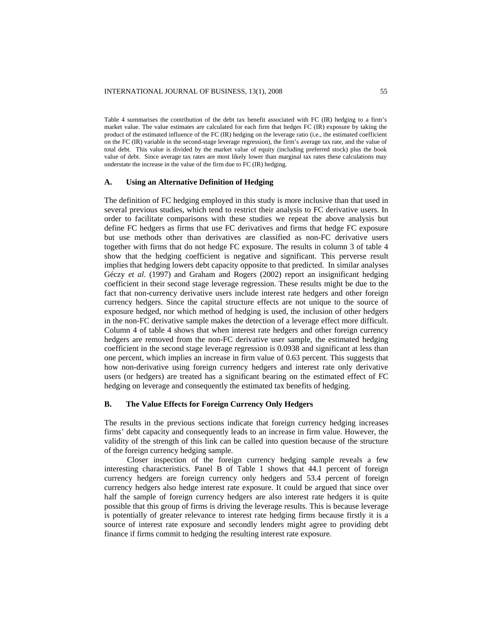Table 4 summarises the contribution of the debt tax benefit associated with FC (IR) hedging to a firm's market value. The value estimates are calculated for each firm that hedges FC (IR) exposure by taking the product of the estimated influence of the FC (IR) hedging on the leverage ratio (i.e., the estimated coefficient on the FC (IR) variable in the second-stage leverage regression), the firm's average tax rate, and the value of total debt. This value is divided by the market value of equity (including preferred stock) plus the book value of debt. Since average tax rates are most likely lower than marginal tax rates these calculations may understate the increase in the value of the firm due to FC (IR) hedging.

#### **A. Using an Alternative Definition of Hedging**

The definition of FC hedging employed in this study is more inclusive than that used in several previous studies, which tend to restrict their analysis to FC derivative users. In order to facilitate comparisons with these studies we repeat the above analysis but define FC hedgers as firms that use FC derivatives and firms that hedge FC exposure but use methods other than derivatives are classified as non-FC derivative users together with firms that do not hedge FC exposure. The results in column 3 of table 4 show that the hedging coefficient is negative and significant. This perverse result implies that hedging lowers debt capacity opposite to that predicted. In similar analyses Géczy *et al*. (1997) and Graham and Rogers (2002) report an insignificant hedging coefficient in their second stage leverage regression. These results might be due to the fact that non-currency derivative users include interest rate hedgers and other foreign currency hedgers. Since the capital structure effects are not unique to the source of exposure hedged, nor which method of hedging is used, the inclusion of other hedgers in the non-FC derivative sample makes the detection of a leverage effect more difficult. Column 4 of table 4 shows that when interest rate hedgers and other foreign currency hedgers are removed from the non-FC derivative user sample, the estimated hedging coefficient in the second stage leverage regression is 0.0938 and significant at less than one percent, which implies an increase in firm value of 0.63 percent. This suggests that how non-derivative using foreign currency hedgers and interest rate only derivative users (or hedgers) are treated has a significant bearing on the estimated effect of FC hedging on leverage and consequently the estimated tax benefits of hedging.

#### **B. The Value Effects for Foreign Currency Only Hedgers**

The results in the previous sections indicate that foreign currency hedging increases firms' debt capacity and consequently leads to an increase in firm value. However, the validity of the strength of this link can be called into question because of the structure of the foreign currency hedging sample.

Closer inspection of the foreign currency hedging sample reveals a few interesting characteristics. Panel B of Table 1 shows that 44.1 percent of foreign currency hedgers are foreign currency only hedgers and 53.4 percent of foreign currency hedgers also hedge interest rate exposure. It could be argued that since over half the sample of foreign currency hedgers are also interest rate hedgers it is quite possible that this group of firms is driving the leverage results. This is because leverage is potentially of greater relevance to interest rate hedging firms because firstly it is a source of interest rate exposure and secondly lenders might agree to providing debt finance if firms commit to hedging the resulting interest rate exposure.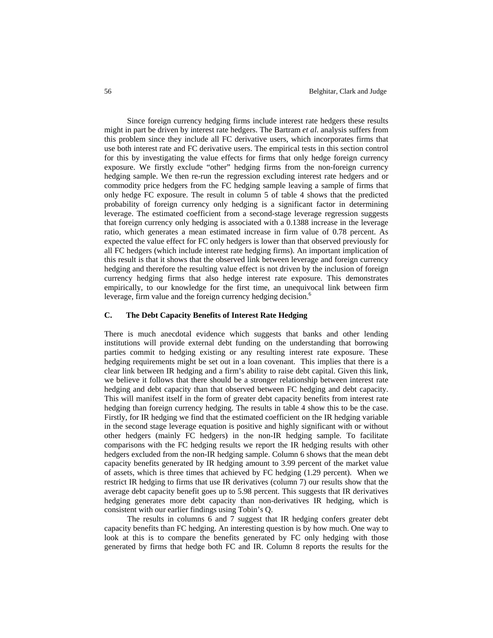Since foreign currency hedging firms include interest rate hedgers these results might in part be driven by interest rate hedgers. The Bartram *et al*. analysis suffers from this problem since they include all FC derivative users, which incorporates firms that use both interest rate and FC derivative users. The empirical tests in this section control for this by investigating the value effects for firms that only hedge foreign currency exposure. We firstly exclude "other" hedging firms from the non-foreign currency hedging sample. We then re-run the regression excluding interest rate hedgers and or commodity price hedgers from the FC hedging sample leaving a sample of firms that only hedge FC exposure. The result in column 5 of table 4 shows that the predicted probability of foreign currency only hedging is a significant factor in determining leverage. The estimated coefficient from a second-stage leverage regression suggests that foreign currency only hedging is associated with a 0.1388 increase in the leverage ratio, which generates a mean estimated increase in firm value of 0.78 percent. As expected the value effect for FC only hedgers is lower than that observed previously for all FC hedgers (which include interest rate hedging firms). An important implication of this result is that it shows that the observed link between leverage and foreign currency hedging and therefore the resulting value effect is not driven by the inclusion of foreign currency hedging firms that also hedge interest rate exposure. This demonstrates empirically, to our knowledge for the first time, an unequivocal link between firm leverage, firm value and the foreign currency hedging decision.<sup>6</sup>

## **C. The Debt Capacity Benefits of Interest Rate Hedging**

There is much anecdotal evidence which suggests that banks and other lending institutions will provide external debt funding on the understanding that borrowing parties commit to hedging existing or any resulting interest rate exposure. These hedging requirements might be set out in a loan covenant. This implies that there is a clear link between IR hedging and a firm's ability to raise debt capital. Given this link, we believe it follows that there should be a stronger relationship between interest rate hedging and debt capacity than that observed between FC hedging and debt capacity. This will manifest itself in the form of greater debt capacity benefits from interest rate hedging than foreign currency hedging. The results in table 4 show this to be the case. Firstly, for IR hedging we find that the estimated coefficient on the IR hedging variable in the second stage leverage equation is positive and highly significant with or without other hedgers (mainly FC hedgers) in the non-IR hedging sample. To facilitate comparisons with the FC hedging results we report the IR hedging results with other hedgers excluded from the non-IR hedging sample. Column 6 shows that the mean debt capacity benefits generated by IR hedging amount to 3.99 percent of the market value of assets, which is three times that achieved by FC hedging (1.29 percent). When we restrict IR hedging to firms that use IR derivatives (column 7) our results show that the average debt capacity benefit goes up to 5.98 percent. This suggests that IR derivatives hedging generates more debt capacity than non-derivatives IR hedging, which is consistent with our earlier findings using Tobin's Q.

The results in columns 6 and 7 suggest that IR hedging confers greater debt capacity benefits than FC hedging. An interesting question is by how much. One way to look at this is to compare the benefits generated by FC only hedging with those generated by firms that hedge both FC and IR. Column 8 reports the results for the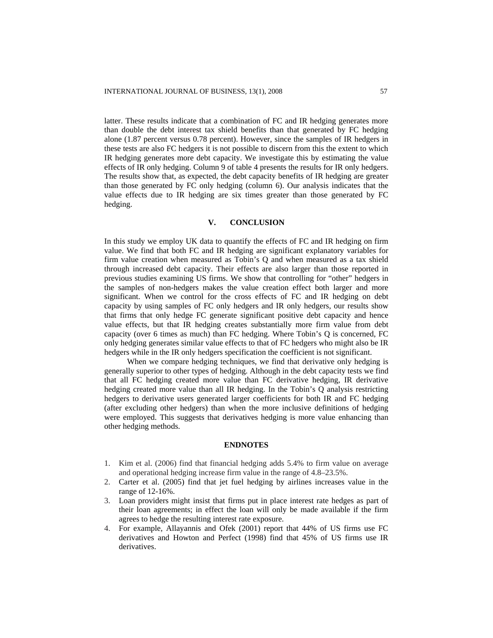latter. These results indicate that a combination of FC and IR hedging generates more than double the debt interest tax shield benefits than that generated by FC hedging alone (1.87 percent versus 0.78 percent). However, since the samples of IR hedgers in these tests are also FC hedgers it is not possible to discern from this the extent to which IR hedging generates more debt capacity. We investigate this by estimating the value effects of IR only hedging. Column 9 of table 4 presents the results for IR only hedgers. The results show that, as expected, the debt capacity benefits of IR hedging are greater than those generated by FC only hedging (column 6). Our analysis indicates that the value effects due to IR hedging are six times greater than those generated by FC hedging.

### **V. CONCLUSION**

In this study we employ UK data to quantify the effects of FC and IR hedging on firm value. We find that both FC and IR hedging are significant explanatory variables for firm value creation when measured as Tobin's Q and when measured as a tax shield through increased debt capacity. Their effects are also larger than those reported in previous studies examining US firms. We show that controlling for "other" hedgers in the samples of non-hedgers makes the value creation effect both larger and more significant. When we control for the cross effects of FC and IR hedging on debt capacity by using samples of FC only hedgers and IR only hedgers, our results show that firms that only hedge FC generate significant positive debt capacity and hence value effects, but that IR hedging creates substantially more firm value from debt capacity (over 6 times as much) than FC hedging. Where Tobin's Q is concerned, FC only hedging generates similar value effects to that of FC hedgers who might also be IR hedgers while in the IR only hedgers specification the coefficient is not significant.

When we compare hedging techniques, we find that derivative only hedging is generally superior to other types of hedging. Although in the debt capacity tests we find that all FC hedging created more value than FC derivative hedging, IR derivative hedging created more value than all IR hedging. In the Tobin's Q analysis restricting hedgers to derivative users generated larger coefficients for both IR and FC hedging (after excluding other hedgers) than when the more inclusive definitions of hedging were employed. This suggests that derivatives hedging is more value enhancing than other hedging methods.

#### **ENDNOTES**

- 1. Kim et al. (2006) find that financial hedging adds 5.4% to firm value on average and operational hedging increase firm value in the range of 4.8–23.5%.
- 2. Carter et al. (2005) find that jet fuel hedging by airlines increases value in the range of 12-16%.
- 3. Loan providers might insist that firms put in place interest rate hedges as part of their loan agreements; in effect the loan will only be made available if the firm agrees to hedge the resulting interest rate exposure.
- 4. For example, Allayannis and Ofek (2001) report that 44% of US firms use FC derivatives and Howton and Perfect (1998) find that 45% of US firms use IR derivatives.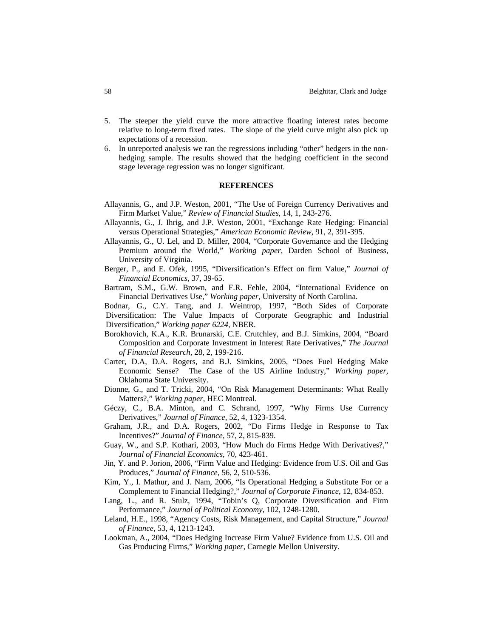- 5. The steeper the yield curve the more attractive floating interest rates become relative to long-term fixed rates. The slope of the yield curve might also pick up expectations of a recession.
- 6. In unreported analysis we ran the regressions including "other" hedgers in the nonhedging sample. The results showed that the hedging coefficient in the second stage leverage regression was no longer significant.

#### **REFERENCES**

- Allayannis, G., and J.P. Weston, 2001, "The Use of Foreign Currency Derivatives and Firm Market Value," *Review of Financial Studies*, 14, 1, 243-276.
- Allayannis, G., J. Ihrig, and J.P. Weston, 2001, "Exchange Rate Hedging: Financial versus Operational Strategies," *American Economic Review*, 91, 2, 391-395.
- Allayannis, G., U. Lel, and D. Miller, 2004, "Corporate Governance and the Hedging Premium around the World," *Working paper*, Darden School of Business, University of Virginia.
- Berger, P., and E. Ofek, 1995, "Diversification's Effect on firm Value," *Journal of Financial Economics*, 37, 39-65.
- Bartram, S.M., G.W. Brown, and F.R. Fehle, 2004, "International Evidence on Financial Derivatives Use," *Working paper*, University of North Carolina.
- Bodnar, G., C.Y. Tang, and J. Weintrop, 1997, "Both Sides of Corporate Diversification: The Value Impacts of Corporate Geographic and Industrial

Diversification," *Working paper 6224*, NBER.

- Borokhovich, K.A., K.R. Brunarski, C.E. Crutchley, and B.J. Simkins, 2004, "Board Composition and Corporate Investment in Interest Rate Derivatives," *The Journal of Financial Research*, 28, 2, 199-216.
- Carter, D.A, D.A. Rogers, and B.J. Simkins, 2005, "Does Fuel Hedging Make Economic Sense? The Case of the US Airline Industry," *Working paper*, Oklahoma State University.
- Dionne, G., and T. Tricki, 2004, "On Risk Management Determinants: What Really Matters?," *Working paper*, HEC Montreal.
- Géczy, C., B.A. Minton, and C. Schrand, 1997, "Why Firms Use Currency Derivatives," *Journal of Finance*, 52, 4, 1323-1354.
- Graham, J.R., and D.A. Rogers, 2002, "Do Firms Hedge in Response to Tax Incentives?" *Journal of Finance*, 57, 2, 815-839.
- Guay, W., and S.P. Kothari, 2003, "How Much do Firms Hedge With Derivatives?," *Journal of Financial Economics*, 70, 423-461.
- Jin, Y. and P. Jorion, 2006, "Firm Value and Hedging: Evidence from U.S. Oil and Gas Produces," *Journal of Finance*, 56, 2, 510-536.
- Kim, Y., I. Mathur, and J. Nam, 2006, "Is Operational Hedging a Substitute For or a Complement to Financial Hedging?," *Journal of Corporate Finance*, 12, 834-853.
- Lang, L., and R. Stulz, 1994, "Tobin's Q, Corporate Diversification and Firm Performance," *Journal of Political Economy*, 102, 1248-1280.
- Leland, H.E., 1998, "Agency Costs, Risk Management, and Capital Structure," *Journal of Finance*, 53, 4, 1213-1243.
- Lookman, A., 2004, "Does Hedging Increase Firm Value? Evidence from U.S. Oil and Gas Producing Firms," *Working paper*, Carnegie Mellon University.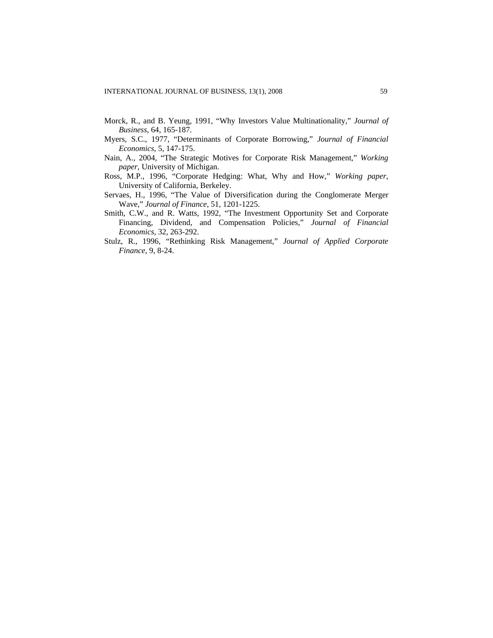- Morck, R., and B. Yeung, 1991, "Why Investors Value Multinationality," *Journal of Business*, 64, 165-187.
- Myers, S.C., 1977, "Determinants of Corporate Borrowing," *Journal of Financial Economics*, 5, 147-175.
- Nain, A., 2004, "The Strategic Motives for Corporate Risk Management," *Working paper*, University of Michigan.
- Ross, M.P., 1996, "Corporate Hedging: What, Why and How," *Working paper*, University of California, Berkeley.
- Servaes, H., 1996, "The Value of Diversification during the Conglomerate Merger Wave," *Journal of Finance*, 51, 1201-1225.
- Smith, C.W., and R. Watts, 1992, "The Investment Opportunity Set and Corporate Financing, Dividend, and Compensation Policies," *Journal of Financial Economics*, 32, 263-292.
- Stulz, R., 1996, "Rethinking Risk Management," *Journal of Applied Corporate Finance*, 9, 8-24.